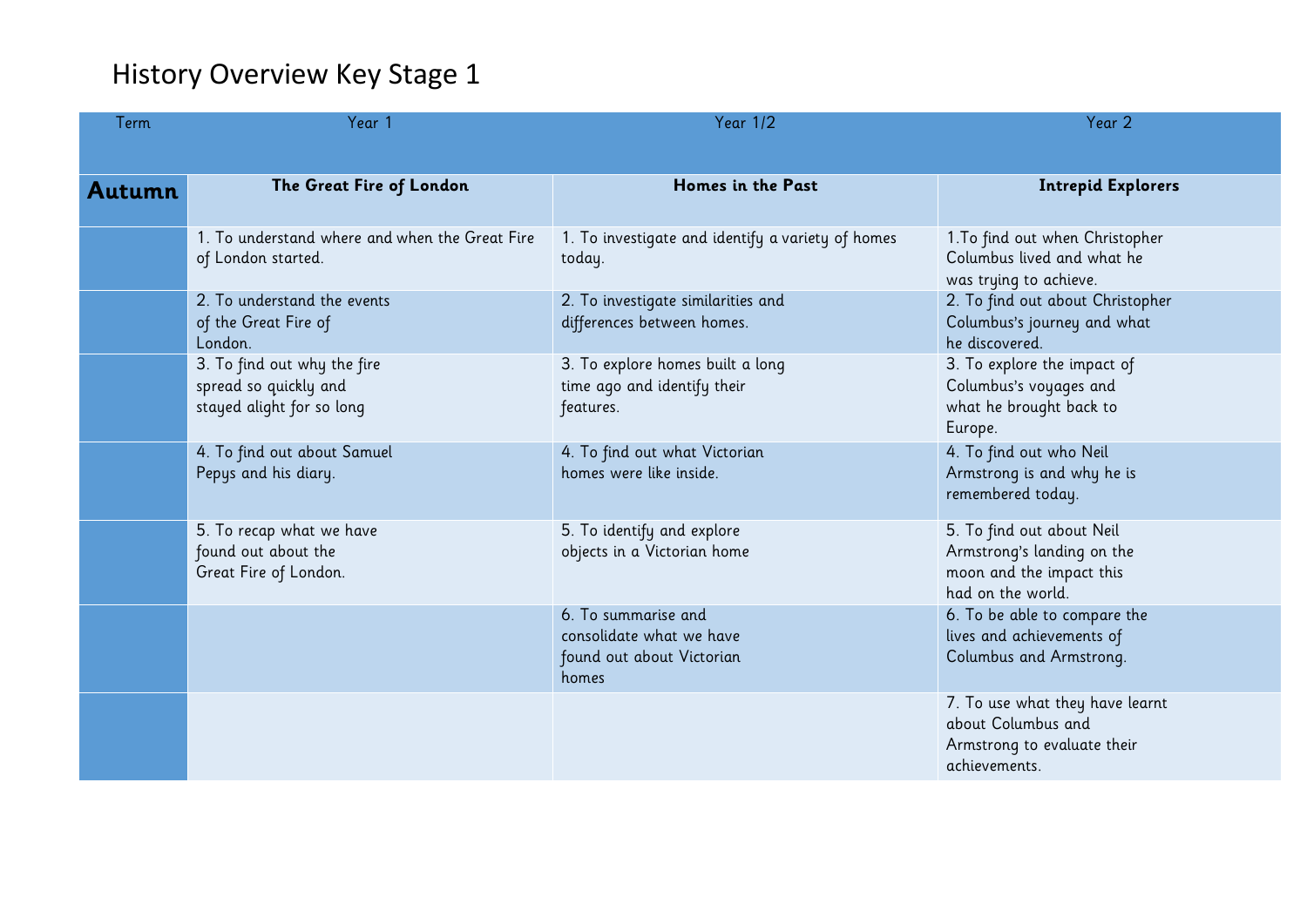## History Overview Key Stage 1

| Term   | Year 1                                                                            | <b>Year 1/2</b>                                                                       | Year 2                                                                                                   |
|--------|-----------------------------------------------------------------------------------|---------------------------------------------------------------------------------------|----------------------------------------------------------------------------------------------------------|
|        |                                                                                   |                                                                                       |                                                                                                          |
| Autumn | The Great Fire of London                                                          | Homes in the Past                                                                     | <b>Intrepid Explorers</b>                                                                                |
|        | 1. To understand where and when the Great Fire<br>of London started.              | 1. To investigate and identify a variety of homes<br>today.                           | 1. To find out when Christopher<br>Columbus lived and what he<br>was trying to achieve.                  |
|        | 2. To understand the events<br>of the Great Fire of<br>London.                    | 2. To investigate similarities and<br>differences between homes.                      | 2. To find out about Christopher<br>Columbus's journey and what<br>he discovered.                        |
|        | 3. To find out why the fire<br>spread so quickly and<br>stayed alight for so long | 3. To explore homes built a long<br>time ago and identify their<br>features.          | 3. To explore the impact of<br>Columbus's voyages and<br>what he brought back to<br>Europe.              |
|        | 4. To find out about Samuel<br>Pepys and his diary.                               | 4. To find out what Victorian<br>homes were like inside.                              | 4. To find out who Neil<br>Armstrong is and why he is<br>remembered today.                               |
|        | 5. To recap what we have<br>found out about the<br>Great Fire of London.          | 5. To identify and explore<br>objects in a Victorian home                             | 5. To find out about Neil<br>Armstrong's landing on the<br>moon and the impact this<br>had on the world. |
|        |                                                                                   | 6. To summarise and<br>consolidate what we have<br>found out about Victorian<br>homes | 6. To be able to compare the<br>lives and achievements of<br>Columbus and Armstrong.                     |
|        |                                                                                   |                                                                                       | 7. To use what they have learnt<br>about Columbus and<br>Armstrong to evaluate their<br>achievements.    |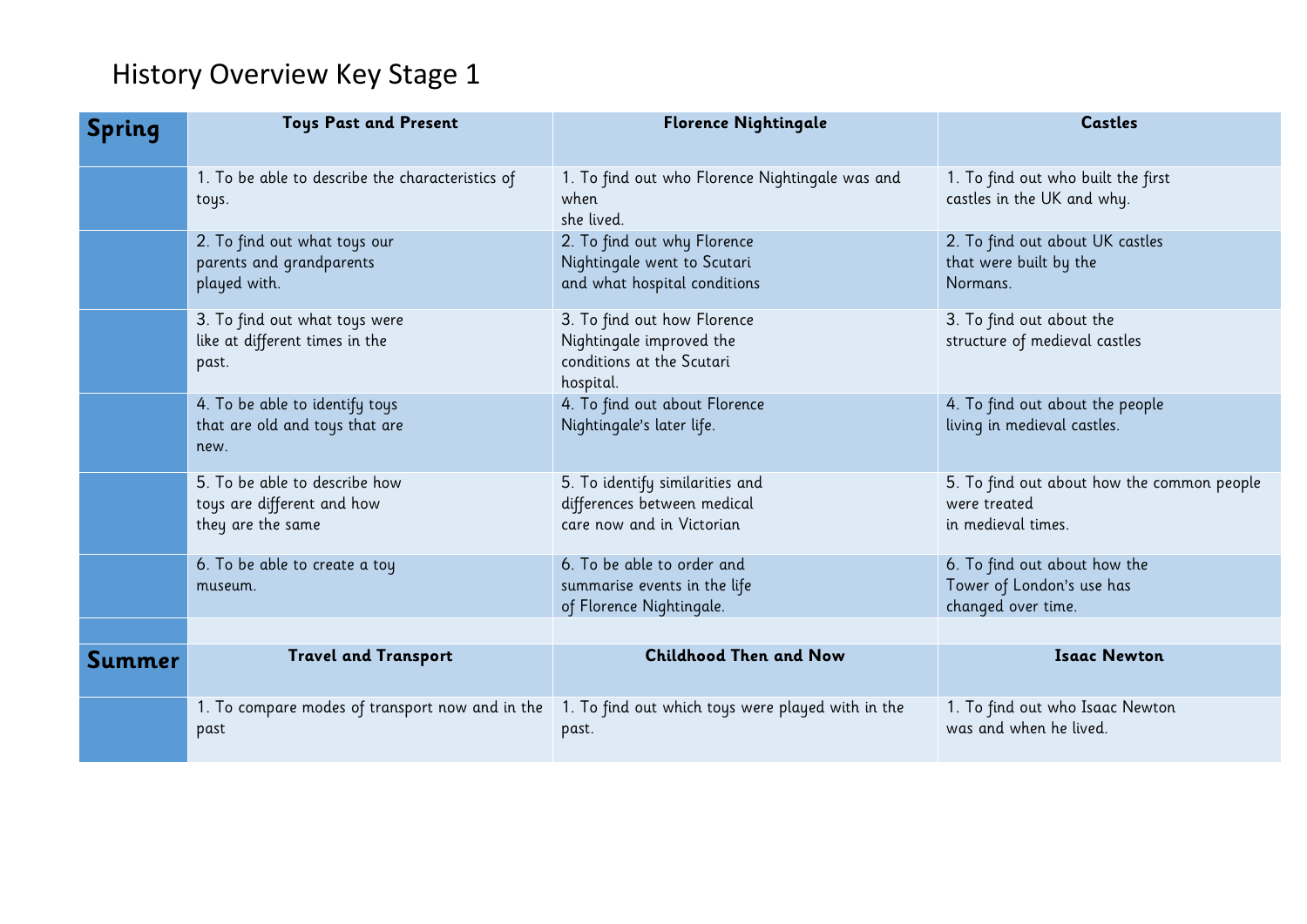## History Overview Key Stage 1

| <b>Spring</b> | <b>Toys Past and Present</b>                                                     | <b>Florence Nightingale</b>                                                                       | <b>Castles</b>                                                                   |
|---------------|----------------------------------------------------------------------------------|---------------------------------------------------------------------------------------------------|----------------------------------------------------------------------------------|
|               | 1. To be able to describe the characteristics of<br>toys.                        | 1. To find out who Florence Nightingale was and<br>when<br>she lived.                             | 1. To find out who built the first<br>castles in the UK and why.                 |
|               | 2. To find out what toys our<br>parents and grandparents<br>played with.         | 2. To find out why Florence<br>Nightingale went to Scutari<br>and what hospital conditions        | 2. To find out about UK castles<br>that were built by the<br>Normans.            |
|               | 3. To find out what toys were<br>like at different times in the<br>past.         | 3. To find out how Florence<br>Nightingale improved the<br>conditions at the Scutari<br>hospital. | 3. To find out about the<br>structure of medieval castles                        |
|               | 4. To be able to identify toys<br>that are old and toys that are<br>new.         | 4. To find out about Florence<br>Nightingale's later life.                                        | 4. To find out about the people<br>living in medieval castles.                   |
|               | 5. To be able to describe how<br>toys are different and how<br>they are the same | 5. To identify similarities and<br>differences between medical<br>care now and in Victorian       | 5. To find out about how the common people<br>were treated<br>in medieval times. |
|               | 6. To be able to create a toy<br>museum.                                         | 6. To be able to order and<br>summarise events in the life<br>of Florence Nightingale.            | 6. To find out about how the<br>Tower of London's use has<br>changed over time.  |
|               | <b>Travel and Transport</b>                                                      | <b>Childhood Then and Now</b>                                                                     | <b>Isaac Newton</b>                                                              |
| Summer        |                                                                                  |                                                                                                   |                                                                                  |
|               | 1. To compare modes of transport now and in the<br>past                          | 1. To find out which toys were played with in the<br>past.                                        | 1. To find out who Isaac Newton<br>was and when he lived.                        |